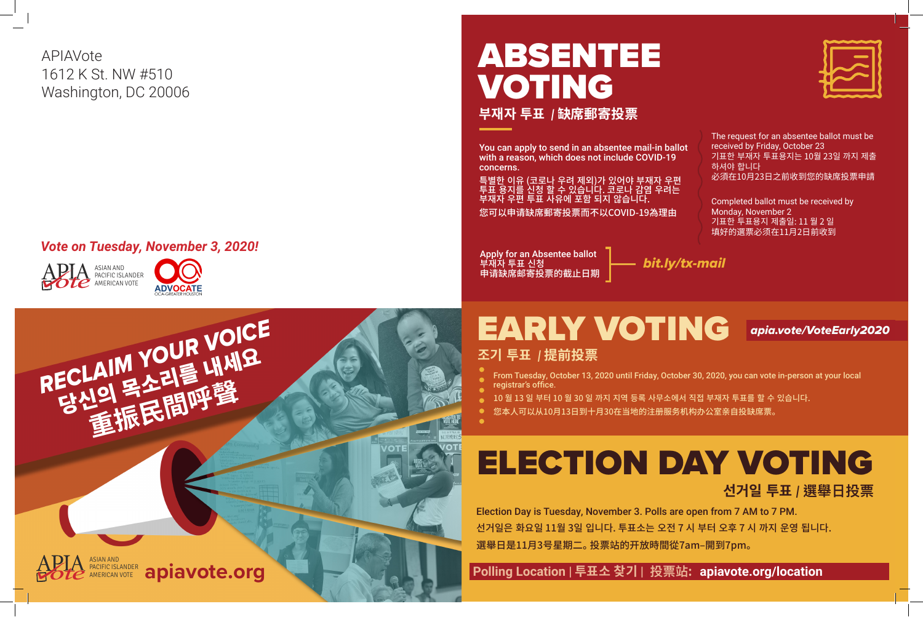

**선거일 투표** *|* **選舉日投票**

 **Polling Location | 투표소 찾기 | 投票站 : apiavote.org/location**





# ABSENTEE VOTING

**부재자 투표**  *|* **缺席郵寄投票**

You can apply to send in an absentee mail-in ballot with a reason, which does not include COVID-19 concerns.

특별한 이유 (코로나 우려 제외)가 있어야 부재자 우편 투표 용지를 신청 할 수 있습니다. 코로나 감염 우려는 부재자 우편 투표 사유에 포함 되지 않습니다. 您可以申请缺席郵寄投票而不以COVID-19為理由

*bit.ly/tx-mail* Apply for an Absentee ballot 부재자 투표 신청 申请缺席邮寄投票的截止日期

# EARLY VOTING *apia.vote/VoteEarly2020* **조기 투표** *|* **提前投票**

The request for an absentee ballot must be received by Friday, October 23 기표한 부재자 투표용지는 10월 23일 까지 제출 하셔야 합니다 必須在10月23日之前收到您的缺席投票申請

Completed ballot must be received by Monday, November 2 기표한 투표용지 제출일: 11 월 2 일 填好的選票必须在11月2日前收到







### *Vote on Tuesday, November 3, 2020!*

APIAVote 1612 K St. NW #510 Washington, DC 20006

From Tuesday, October 13, 2020 until Friday, October 30, 2020, you can vote in-person at your local

10 월 13 일 부터 10 월 30 일 까지 지역 등록 사무소에서 직접 부재자 투표를 할 수 있습니다.

- registrar's office.
- 
- 您本人可以从10月13日到十月30在当地的注册服务机构办公室亲自投缺席票。

Election Day is Tuesday, November 3. Polls are open from 7 AM to 7 PM. 선거일은 화요일 11월 3일 입니다. 투표소는 오전 7 시 부터 오후 7 시 까지 운영 됩니다. 選舉日是11月3号星期二。 投票站的开放時間從7am–開到7pm。